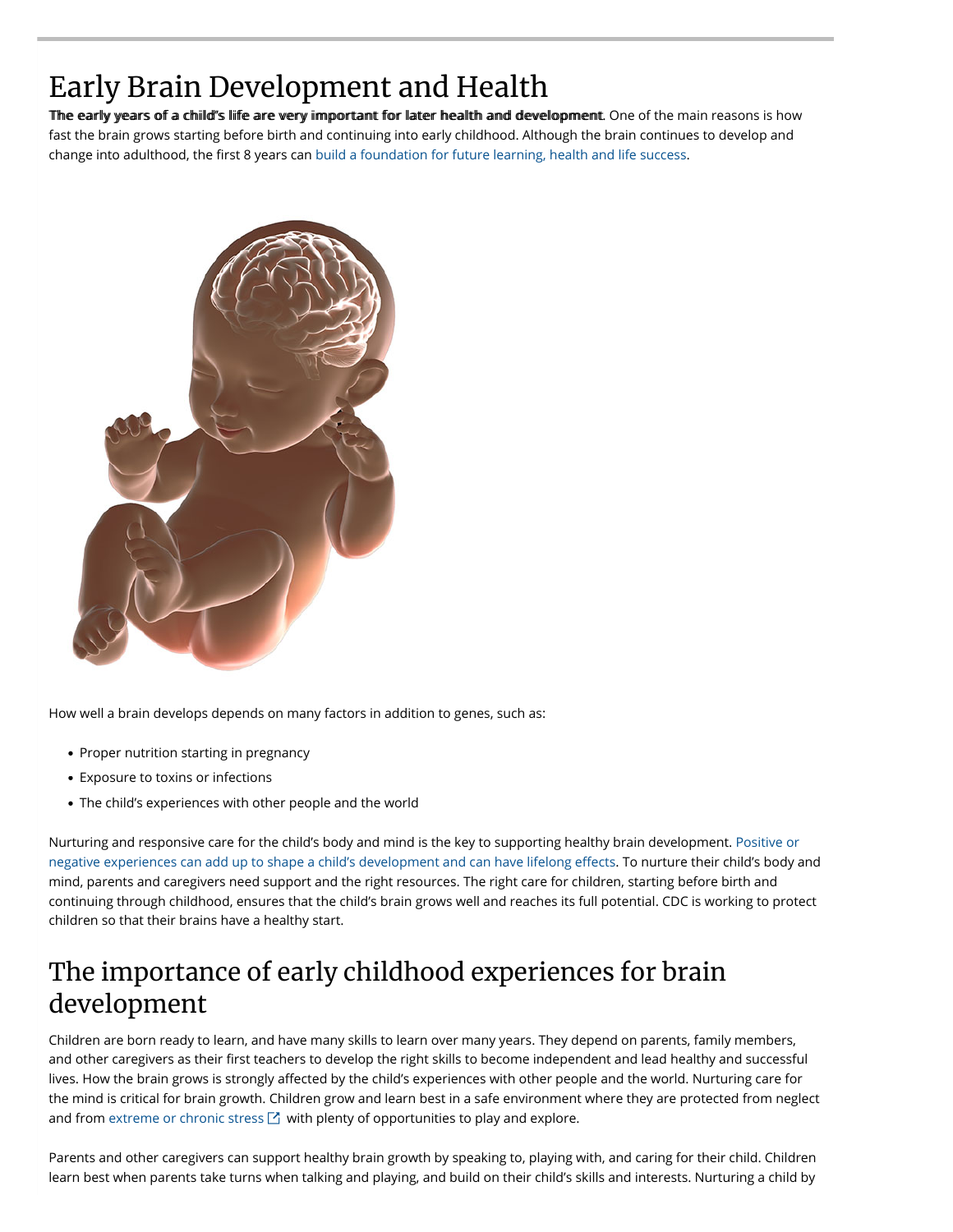## Early Brain Development and Health

The early years of a child's life are very important for later health and development. One of the main reasons is how fast the brain grows starting before birth and continuing into early childhood. Although the brain continues to develop and change into adulthood, the first 8 years can [build a foundation for future learning, health and life success](https://www.cdc.gov/mmwr/volumes/66/wr/mm6629a1.htm).



How well a brain develops depends on many factors in addition to genes, such as:

- Proper nutrition starting in pregnancy
- Exposure to toxins or infections
- The child's experiences with other people and the world

Nurturing and responsive care for the child's body and mind is the key to supporting healthy brain development. [Positive or](https://www.cdc.gov/mmwr/volumes/66/wr/mm6629a1.htm) [negative experiences can add up to shape a child's development and can have lifelong e](https://www.cdc.gov/mmwr/volumes/66/wr/mm6629a1.htm)ffects. To nurture their child's body and mind, parents and caregivers need support and the right resources. The right care for children, starting before birth and continuing through childhood, ensures that the child's brain grows well and reaches its full potential. CDC is working to protect children so that their brains have a healthy start.

## The importance of early childhood experiences for brain development

Children are born ready to learn, and have many skills to learn over many years. They depend on parents, family members, and other caregivers as their first teachers to develop the right skills to become independent and lead healthy and successful lives. How the brain grows is strongly affected by the child's experiences with other people and the world. Nurturing care for the mind is critical for brain growth. Children grow and learn best in a safe environment where they are protected from neglect and from [extreme or chronic stress](https://www.samhsa.gov/child-trauma/recognizing-and-treating-child-traumatic-stress#signs)  $\boxtimes$  with plenty of opportunities to play and explore.

Parents and other caregivers can support healthy brain growth by speaking to, playing with, and caring for their child. Children learn best when parents take turns when talking and playing, and build on their child's skills and interests. Nurturing a child by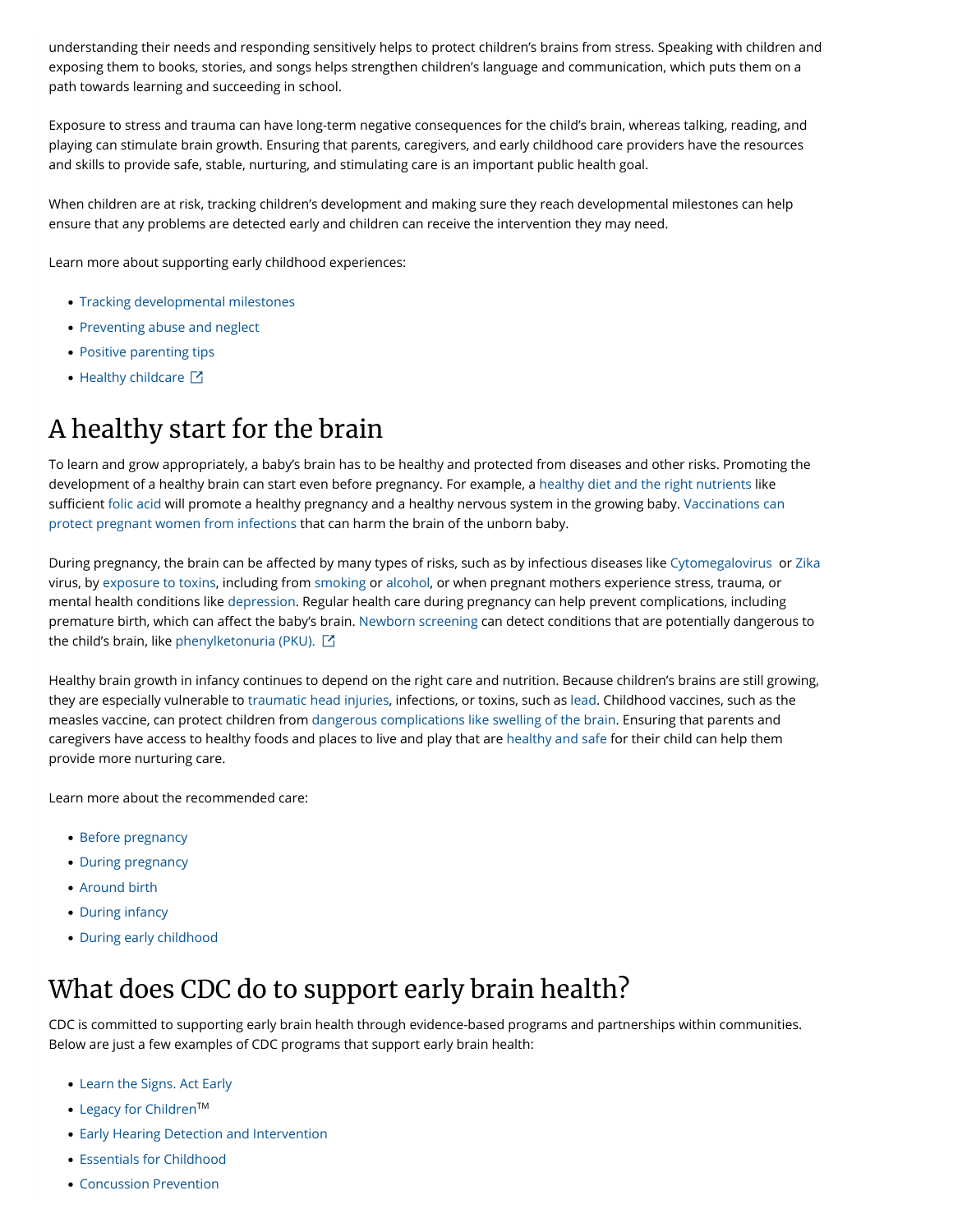understanding their needs and responding sensitively helps to protect children's brains from stress. Speaking with children and exposing them to books, stories, and songs helps strengthen children's language and communication, which puts them on a path towards learning and succeeding in school.

Exposure to stress and trauma can have long-term negative consequences for the child's brain, whereas talking, reading, and playing can stimulate brain growth. Ensuring that parents, caregivers, and early childhood care providers have the resources and skills to provide safe, stable, nurturing, and stimulating care is an important public health goal.

When children are at risk, tracking children's development and making sure they reach developmental milestones can help ensure that any problems are detected early and children can receive the intervention they may need.

Learn more about supporting early childhood experiences:

- [Tracking developmental milestones](https://www.cdc.gov/ncbddd/actearly/index.html)
- [Preventing abuse and neglect](https://www.cdc.gov/violenceprevention/childabuseandneglect/)
- [Positive parenting tips](https://www.cdc.gov/ncbddd/childdevelopment/positiveparenting/index.html)
- [Healthy childcare](https://childcare.gov/consumer-education/choosing-quality-childcare) **M**

## A healthy start for the brain

To learn and grow appropriately, a baby's brain has to be healthy and protected from diseases and other risks. Promoting the development of a healthy brain can start even before pregnancy. For example, a [healthy diet and the right nutrients](https://www.cdc.gov/preconception/women.html) like sufficient [folic acid](https://www.cdc.gov/ncbddd/folicacid/index.html) will promote a healthy pregnancy and a healthy nervous system in the growing baby. [Vaccinations can](https://www.cdc.gov/vaccines/pregnancy/pregnant-women/index.html) [protect pregnant women from infections](https://www.cdc.gov/vaccines/pregnancy/pregnant-women/index.html) that can harm the brain of the unborn baby.

During pregnancy, the brain can be affected by many types of risks, such as by infectious diseases like [Cytomegalovirus](https://www.cdc.gov/cmv/index.html) or [Zika](https://www.cdc.gov/zika/pregnancy/women-and-their-partners.html) virus, by [exposure to toxins,](https://www.cdc.gov/niosh/docs/99-104/) including from [smoking](http://www.cdc.gov/reproductivehealth/TobaccoUsePregnancy/index.htm) or [alcohol](https://www.cdc.gov/ncbddd/fasd/alcohol-use.html), or when pregnant mothers experience stress, trauma, or mental health conditions like [depression.](https://www.cdc.gov/reproductivehealth/depression/index.htm) Regular health care during pregnancy can help prevent complications, including premature birth, which can affect the baby's brain. [Newborn screening](https://www.cdc.gov/newbornscreening/) can detect conditions that are potentially dangerous to the child's brain, like [phenylketonuria \(PKU\).](https://ghr.nlm.nih.gov/condition/phenylketonuria)  $\boxdot$ 

Healthy brain growth in infancy continues to depend on the right care and nutrition. Because children's brains are still growing, they are especially vulnerable to [traumatic head injuries](https://www.cdc.gov/traumaticbraininjury/index.html), infections, or toxins, such as [lead](https://www.cdc.gov/nceh/lead/). Childhood vaccines, such as the measles vaccine, can protect children from [dangerous complications like swelling of the brain.](https://www.cdc.gov/measles/symptoms/complications.html) Ensuring that parents and caregivers have access to healthy foods and places to live and play that are [healthy and safe](https://www.cdc.gov/healthyplaces/) for their child can help them provide more nurturing care.

Learn more about the recommended care:

- [Before pregnancy](https://www.cdc.gov/preconception/overview.html)
- [During pregnancy](https://www.cdc.gov/pregnancy/during.html)
- [Around birth](https://www.cdc.gov/newbornscreening/)
- [During infancy](https://www.cdc.gov/parents/infants/index.html)
- [During early childhood](https://www.cdc.gov/parents/children/index.html)

## What does CDC do to support early brain health?

CDC is committed to supporting early brain health through evidence-based programs and partnerships within communities. Below are just a few examples of CDC programs that support early brain health:

- [Learn the Signs. Act Early](https://www.cdc.gov/ncbddd/actearly/index.html)
- [Legacy for Children](https://www.cdc.gov/ncbddd/childdevelopment/legacy.html)<sup>™</sup>
- [Early Hearing Detection and Intervention](https://www.cdc.gov/ncbddd/hearingloss/research.html)
- [Essentials for Childhood](https://www.cdc.gov/violenceprevention/childabuseandneglect/essentials.html)
- [Concussion Prevention](https://www.cdc.gov/traumaticbraininjury/prevention.html)